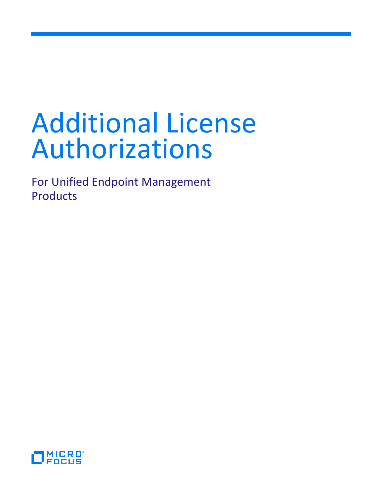# Additional License Authorizations

For Unified Endpoint Management Products

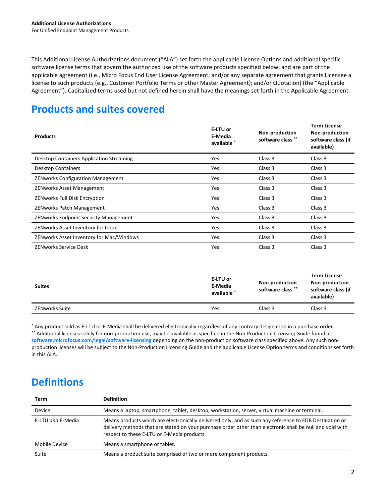This Additional License Authorizations document ("ALA") set forth the applicable License Options and additional specific software license terms that govern the authorized use of the software products specified below, and are part of the applicable agreement (i.e., Micro Focus End User License Agreement; and/or any separate agreement that grants Licensee a license to such products (e.g., Customer Portfolio Terms or other Master Agreement); and/or Quotation) (the "Applicable Agreement"). Capitalized terms used but not defined herein shall have the meanings set forth in the Applicable Agreement.

# **Products and suites covered**

| <b>Products</b>                              | E-LTU or<br>E-Media<br>available * | Non-production<br>software class ** | <b>Term License</b><br>Non-production<br>software class (if<br>available) |
|----------------------------------------------|------------------------------------|-------------------------------------|---------------------------------------------------------------------------|
| Desktop Containers Application Streaming     | Yes                                | Class 3                             | Class 3                                                                   |
| <b>Desktop Containers</b>                    | Yes                                | Class 3                             | Class 3                                                                   |
| <b>ZENworks Configuration Management</b>     | Yes                                | Class 3                             | Class 3                                                                   |
| <b>ZENworks Asset Management</b>             | Yes                                | Class 3                             | Class 3                                                                   |
| <b>ZENworks Full Disk Encryption</b>         | Yes                                | Class 3                             | Class 3                                                                   |
| <b>ZENworks Patch Management</b>             | Yes                                | Class 3                             | Class 3                                                                   |
| <b>ZENworks Endpoint Security Management</b> | Yes                                | Class 3                             | Class 3                                                                   |
| ZENworks Asset Inventory for Linux           | Yes                                | Class 3                             | Class 3                                                                   |
| ZENworks Asset Inventory for Mac/Windows     | Yes                                | Class 3                             | Class 3                                                                   |
| <b>ZENworks Service Desk</b>                 | Yes                                | Class 3                             | Class 3                                                                   |

| <b>Suites</b>  | E-LTU or<br>E-Media<br>available * | <b>Non-production</b><br>software class ** | <b>Term License</b><br><b>Non-production</b><br>software class (if<br>available) |
|----------------|------------------------------------|--------------------------------------------|----------------------------------------------------------------------------------|
| ZENworks Suite | Yes                                | Class 3                                    | Class 3                                                                          |

\* Any product sold as E-LTU or E-Media shall be delivered electronically regardless of any contrary designation in a purchase order. \*\* Additional licenses solely for non-production use, may be available as specified in the Non-Production Licensing Guide found at **[software.microfocus.com/legal/software-licensing](http://software.microfocus.com/legal/software-licensing)** depending on the non-production software class specified above. Any such nonproduction licenses will be subject to the Non-Production Licensing Guide and the applicable License Option terms and conditions set forth in this ALA.

# **Definitions**

| Term              | <b>Definition</b>                                                                                                                                                                                                                                                   |  |
|-------------------|---------------------------------------------------------------------------------------------------------------------------------------------------------------------------------------------------------------------------------------------------------------------|--|
| Device            | Means a laptop, smartphone, tablet, desktop, workstation, server, virtual machine or terminal.                                                                                                                                                                      |  |
| E-LTU and E-Media | Means products which are electronically delivered only, and as such any reference to FOB Destination or<br>delivery methods that are stated on your purchase order other than electronic shall be null and void with<br>respect to these E-LTU or E-Media products. |  |
| Mobile Device     | Means a smartphone or tablet.                                                                                                                                                                                                                                       |  |
| Suite             | Means a product suite comprised of two or more component products.                                                                                                                                                                                                  |  |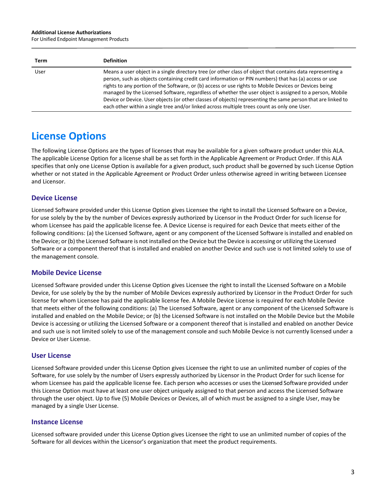#### **Additional License Authorizations**

For Unified Endpoint Management Products

| Term | <b>Definition</b>                                                                                                                                                                                                                                                                                                                                                                                                                                                                                                                                                                                                                                      |
|------|--------------------------------------------------------------------------------------------------------------------------------------------------------------------------------------------------------------------------------------------------------------------------------------------------------------------------------------------------------------------------------------------------------------------------------------------------------------------------------------------------------------------------------------------------------------------------------------------------------------------------------------------------------|
| User | Means a user object in a single directory tree (or other class of object that contains data representing a<br>person, such as objects containing credit card information or PIN numbers) that has (a) access or use<br>rights to any portion of the Software, or (b) access or use rights to Mobile Devices or Devices being<br>managed by the Licensed Software, regardless of whether the user object is assigned to a person, Mobile<br>Device or Device. User objects (or other classes of objects) representing the same person that are linked to<br>each other within a single tree and/or linked across multiple trees count as only one User. |

# **License Options**

The following License Options are the types of licenses that may be available for a given software product under this ALA. The applicable License Option for a license shall be as set forth in the Applicable Agreement or Product Order. If this ALA specifies that only one License Option is available for a given product, such product shall be governed by such License Option whether or not stated in the Applicable Agreement or Product Order unless otherwise agreed in writing between Licensee and Licensor.

## **Device License**

Licensed Software provided under this License Option gives Licensee the right to install the Licensed Software on a Device, for use solely by the by the number of Devices expressly authorized by Licensor in the Product Order for such license for whom Licensee has paid the applicable license fee. A Device License is required for each Device that meets either of the following conditions: (a) the Licensed Software, agent or any component of the Licensed Software is installed and enabled on the Device; or (b) the Licensed Software is not installed on the Device but the Device is accessing or utilizing the Licensed Software or a component thereof that is installed and enabled on another Device and such use is not limited solely to use of the management console.

### **Mobile Device License**

Licensed Software provided under this License Option gives Licensee the right to install the Licensed Software on a Mobile Device, for use solely by the by the number of Mobile Devices expressly authorized by Licensor in the Product Order for such license for whom Licensee has paid the applicable license fee. A Mobile Device License is required for each Mobile Device that meets either of the following conditions: (a) The Licensed Software, agent or any component of the Licensed Software is installed and enabled on the Mobile Device; or (b) the Licensed Software is not installed on the Mobile Device but the Mobile Device is accessing or utilizing the Licensed Software or a component thereof that is installed and enabled on another Device and such use is not limited solely to use of the management console and such Mobile Device is not currently licensed under a Device or User License.

### **User License**

Licensed Software provided under this License Option gives Licensee the right to use an unlimited number of copies of the Software, for use solely by the number of Users expressly authorized by Licensor in the Product Order for such license for whom Licensee has paid the applicable license fee. Each person who accesses or usesthe Licensed Software provided under this License Option must have at least one user object uniquely assigned to that person and access the Licensed Software through the user object. Up to five (5) Mobile Devices or Devices, all of which must be assigned to a single User, may be managed by a single User License.

### **Instance License**

Licensed software provided under this License Option gives Licensee the right to use an unlimited number of copies of the Software for all devices within the Licensor's organization that meet the product requirements.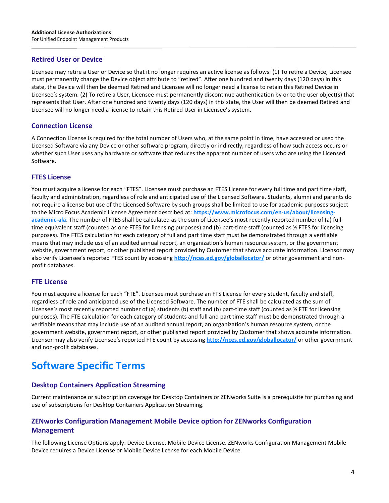## **Retired User or Device**

Licensee may retire a User or Device so that it no longer requires an active license as follows: (1) To retire a Device, Licensee must permanently change the Device object attribute to "retired". After one hundred and twenty days (120 days) in this state, the Device will then be deemed Retired and Licensee will no longer need a license to retain this Retired Device in Licensee's system. (2) To retire a User, Licensee must permanently discontinue authentication by or to the user object(s) that represents that User. After one hundred and twenty days (120 days) in this state, the User will then be deemed Retired and Licensee will no longer need a license to retain this Retired User in Licensee's system.

## **Connection License**

A Connection License is required for the total number of Users who, at the same point in time, have accessed or used the Licensed Software via any Device or other software program, directly or indirectly, regardless of how such access occurs or whether such User uses any hardware or software that reduces the apparent number of users who are using the Licensed Software.

### **FTES License**

You must acquire a license for each "FTES". Licensee must purchase an FTES License for every full time and part time staff, faculty and administration, regardless of role and anticipated use of the Licensed Software. Students, alumni and parents do not require a license but use of the Licensed Software by such groups shall be limited to use for academic purposes subject to the Micro Focus Academic License Agreement described at: **https://www.microfocus.com/en-us/about/licensingacademic-ala**. The number of FTES shall be calculated as the sum of Licensee's most recently reported number of (a) fulltime equivalent staff (counted as one FTES for licensing purposes) and (b) part-time staff (counted as ½ FTES for licensing purposes). The FTES calculation for each category of full and part time staff must be demonstrated through a verifiable means that may include use of an audited annual report, an organization's human resource system, or the government website, government report, or other published report provided by Customer that shows accurate information. Licensor may also verify Licensee's reported FTES count by accessing **http://nces.ed.gov/globallocator/** or other government and nonprofit databases.

### **FTE License**

You must acquire a license for each "FTE". Licensee must purchase an FTS License for every student, faculty and staff, regardless of role and anticipated use of the Licensed Software. The number of FTE shall be calculated as the sum of Licensee's most recently reported number of (a) students (b) staff and (b) part-time staff (counted as ½ FTE for licensing purposes). The FTE calculation for each category of students and full and part time staff must be demonstrated through a verifiable means that may include use of an audited annual report, an organization's human resource system, or the government website, government report, or other published report provided by Customer that shows accurate information. Licensor may also verify Licensee's reported FTE count by accessing **http://nces.ed.gov/globallocator/** or other government and non-profit databases.

# **Software Specific Terms**

# **Desktop Containers Application Streaming**

Current maintenance or subscription coverage for Desktop Containers or ZENworks Suite is a prerequisite for purchasing and use of subscriptions for Desktop Containers Application Streaming.

# **ZENworks Configuration Management Mobile Device option for ZENworks Configuration Management**

The following License Options apply: Device License, Mobile Device License. ZENworks Configuration Management Mobile Device requires a Device License or Mobile Device license for each Mobile Device.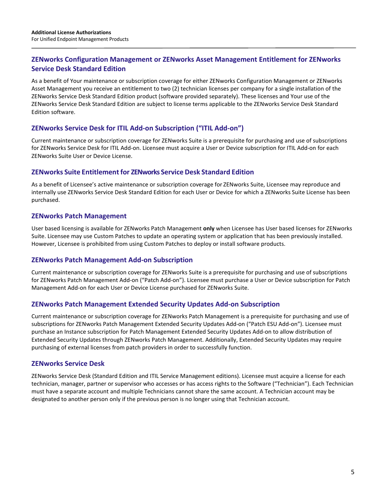# **ZENworks Configuration Management or ZENworks Asset Management Entitlement for ZENworks Service Desk Standard Edition**

As a benefit of Your maintenance or subscription coverage for either ZENworks Configuration Management or ZENworks Asset Management you receive an entitlement to two (2) technician licenses per company for a single installation of the ZENworks Service Desk Standard Edition product (software provided separately). These licenses and Your use of the ZENworks Service Desk Standard Edition are subject to license terms applicable to the ZENworks Service Desk Standard Edition software.

# **ZENworks Service Desk for ITIL Add-on Subscription ("ITIL Add-on")**

Current maintenance or subscription coverage for ZENworks Suite is a prerequisite for purchasing and use of subscriptions for ZENworks Service Desk for ITIL Add-on. Licensee must acquire a User or Device subscription for ITIL Add-on for each ZENworks Suite User or Device License.

### **ZENworks Suite Entitlementfor ZENworks Service Desk Standard Edition**

As a benefit of Licensee's active maintenance or subscription coverage for ZENworks Suite, Licensee may reproduce and internally use ZENworks Service Desk Standard Edition for each User or Device for which a ZENworks Suite License has been purchased.

### **ZENworks Patch Management**

User based licensing is available for ZENworks Patch Management **only** when Licensee has User based licenses for ZENworks Suite. Licensee may use Custom Patches to update an operating system or application that has been previously installed. However, Licensee is prohibited from using Custom Patches to deploy or install software products.

### **ZENworks Patch Management Add-on Subscription**

Current maintenance or subscription coverage for ZENworks Suite is a prerequisite for purchasing and use of subscriptions for ZENworks Patch Management Add-on ("Patch Add-on"). Licensee must purchase a User or Device subscription for Patch Management Add-on for each User or Device License purchased for ZENworks Suite.

### **ZENworks Patch Management Extended Security Updates Add-on Subscription**

Current maintenance or subscription coverage for ZENworks Patch Management is a prerequisite for purchasing and use of subscriptions for ZENworks Patch Management Extended Security Updates Add-on ("Patch ESU Add-on"). Licensee must purchase an Instance subscription for Patch Management Extended Security Updates Add-on to allow distribution of Extended Security Updates through ZENworks Patch Management. Additionally, Extended Security Updates may require purchasing of external licenses from patch providers in order to successfully function.

### **ZENworks Service Desk**

ZENworks Service Desk (Standard Edition and ITIL Service Management editions). Licensee must acquire a license for each technician, manager, partner or supervisor who accesses or has access rights to the Software ("Technician"). Each Technician must have a separate account and multiple Technicians cannot share the same account. A Technician account may be designated to another person only if the previous person is no longer using that Technician account.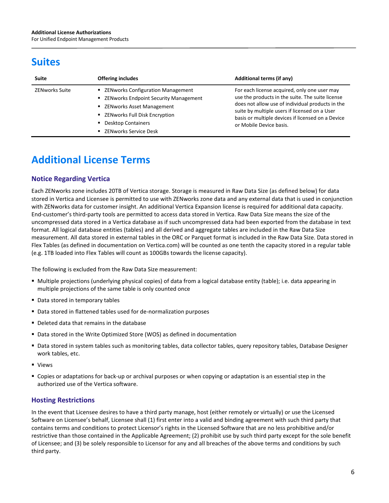# **Suites**

| <b>Suite</b>          | <b>Offering includes</b>                                                               | <b>Additional terms (if any)</b>                                                                                                                                                                                                                                                      |
|-----------------------|----------------------------------------------------------------------------------------|---------------------------------------------------------------------------------------------------------------------------------------------------------------------------------------------------------------------------------------------------------------------------------------|
| <b>ZENworks Suite</b> | ■ ZENworks Configuration Management<br>■ ZENworks Endpoint Security Management         | For each license acquired, only one user may<br>use the products in the suite. The suite license<br>does not allow use of individual products in the<br>suite by multiple users if licensed on a User<br>basis or multiple devices if licensed on a Device<br>or Mobile Device basis. |
|                       | ■ ZENworks Asset Management<br>■ ZENworks Full Disk Encryption<br>• Desktop Containers |                                                                                                                                                                                                                                                                                       |
|                       | ■ ZENworks Service Desk                                                                |                                                                                                                                                                                                                                                                                       |

# **Additional License Terms**

# **Notice Regarding Vertica**

Each ZENworks zone includes 20TB of Vertica storage. Storage is measured in Raw Data Size (as defined below) for data stored in Vertica and Licensee is permitted to use with ZENworks zone data and any external data that is used in conjunction with ZENworks data for customer insight. An additional Vertica Expansion license is required for additional data capacity. End-customer's third-party tools are permitted to access data stored in Vertica. Raw Data Size means the size of the uncompressed data stored in a Vertica database as if such uncompressed data had been exported from the database in text format. All logical database entities (tables) and all derived and aggregate tables are included in the Raw Data Size measurement. All data stored in external tables in the ORC or Parquet format is included in the Raw Data Size. Data stored in Flex Tables (as defined in documentation on Vertica.com) will be counted as one tenth the capacity stored in a regular table (e.g. 1TB loaded into Flex Tables will count as 100GBs towards the license capacity).

The following is excluded from the Raw Data Size measurement:

- Multiple projections (underlying physical copies) of data from a logical database entity (table); i.e. data appearing in multiple projections of the same table is only counted once
- **Data stored in temporary tables**
- Data stored in flattened tables used for de-normalization purposes
- Deleted data that remains in the database
- Data stored in the Write Optimized Store (WOS) as defined in documentation
- Data stored in system tables such as monitoring tables, data collector tables, query repository tables, Database Designer work tables, etc.
- Views
- Copies or adaptations for back-up or archival purposes or when copying or adaptation is an essential step in the authorized use of the Vertica software.

# **Hosting Restrictions**

In the event that Licensee desires to have a third party manage, host (either remotely or virtually) or use the Licensed Software on Licensee's behalf, Licensee shall (1) first enter into a valid and binding agreement with such third party that contains terms and conditions to protect Licensor's rights in the Licensed Software that are no less prohibitive and/or restrictive than those contained in the Applicable Agreement; (2) prohibit use by such third party except for the sole benefit of Licensee; and (3) be solely responsible to Licensor for any and all breaches of the above terms and conditions by such third party.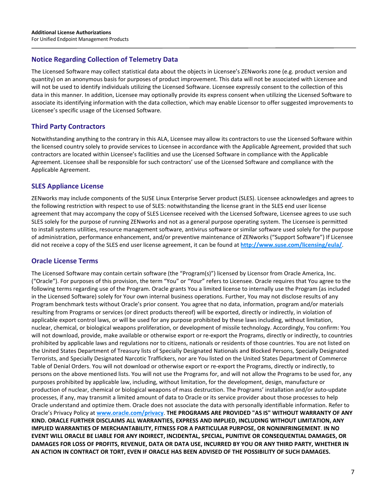# **Notice Regarding Collection of Telemetry Data**

The Licensed Software may collect statistical data about the objects in Licensee's ZENworks zone (e.g. product version and quantity) on an anonymous basis for purposes of product improvement. This data will not be associated with Licensee and will not be used to identify individuals utilizing the Licensed Software. Licensee expressly consent to the collection of this data in this manner. In addition, Licensee may optionally provide its express consent when utilizing the Licensed Software to associate its identifying information with the data collection, which may enable Licensor to offer suggested improvements to Licensee's specific usage of the Licensed Software.

## **Third Party Contractors**

Notwithstanding anything to the contrary in this ALA, Licensee may allow its contractors to use the Licensed Software within the licensed country solely to provide services to Licensee in accordance with the Applicable Agreement, provided that such contractors are located within Licensee's facilities and use the Licensed Software in compliance with the Applicable Agreement. Licensee shall be responsible for such contractors' use of the Licensed Software and compliance with the Applicable Agreement.

## **SLES Appliance License**

ZENworks may include components of the SUSE Linux Enterprise Server product (SLES). Licensee acknowledges and agrees to the following restriction with respect to use of SLES: notwithstanding the license grant in the SLES end user license agreement that may accompany the copy of SLES Licensee received with the Licensed Software, Licensee agrees to use such SLES solely for the purpose of running ZENworks and not as a general purpose operating system. The Licensee is permitted to install systems utilities, resource management software, antivirus software or similar software used solely for the purpose of administration, performance enhancement, and/or preventive maintenance of ZENworks ("Support Software") If Licensee did not receive a copy of the SLES end user license agreement, it can be found at **<http://www.suse.com/licensing/eula/>**.

### **Oracle License Terms**

The Licensed Software may contain certain software (the "Program(s)") licensed by Licensor from Oracle America, Inc. ("Oracle"). For purposes of this provision, the term "You" or "Your" refers to Licensee. Oracle requires that You agree to the following terms regarding use of the Program. Oracle grants You a limited license to internally use the Program (as included in the Licensed Software) solely for Your own internal business operations. Further, You may not disclose results of any Program benchmark tests without Oracle's prior consent. You agree that no data, information, program and/or materials resulting from Programs or services (or direct products thereof) will be exported, directly or indirectly, in violation of applicable export control laws, or will be used for any purpose prohibited by these laws including, without limitation, nuclear, chemical, or biological weapons proliferation, or development of missile technology. Accordingly, You confirm: You will not download, provide, make available or otherwise export or re-export the Programs, directly or indirectly, to countries prohibited by applicable laws and regulations nor to citizens, nationals or residents of those countries. You are not listed on the United States Department of Treasury lists of Specially Designated Nationals and Blocked Persons, Specially Designated Terrorists, and Specially Designated Narcotic Traffickers, nor are You listed on the United States Department of Commerce Table of Denial Orders. You will not download or otherwise export or re-export the Programs, directly or indirectly, to persons on the above mentioned lists. You will not use the Programs for, and will not allow the Programs to be used for, any purposes prohibited by applicable law, including, without limitation, for the development, design, manufacture or production of nuclear, chemical or biological weapons of mass destruction. The Programs' installation and/or auto-update processes, if any, may transmit a limited amount of data to Oracle or its service provider about those processes to help Oracle understand and optimize them. Oracle does not associate the data with personally identifiable information. Refer to Oracle's Privacy Policy at **[www.oracle.com/privacy](http://www.oracle.com/privacy)**. **THE PROGRAMS ARE PROVIDED "AS IS" WITHOUT WARRANTY OF ANY KIND. ORACLE FURTHER DISCLAIMS ALL WARRANTIES, EXPRESS AND IMPLIED, INCLUDING WITHOUT LIMITATION, ANY IMPLIED WARRANTIES OF MERCHANTABILITY, FITNESS FOR A PARTICULAR PURPOSE, OR NONINFRINGEMENT**. **IN NO EVENT WILL ORACLE BE LIABLE FOR ANY INDIRECT, INCIDENTAL, SPECIAL, PUNITIVE OR CONSEQUENTIAL DAMAGES, OR DAMAGES FOR LOSS OF PROFITS, REVENUE, DATA OR DATA USE, INCURRED BY YOU OR ANY THIRD PARTY, WHETHER IN AN ACTION IN CONTRACT OR TORT, EVEN IF ORACLE HAS BEEN ADVISED OF THE POSSIBILITY OF SUCH DAMAGES.**